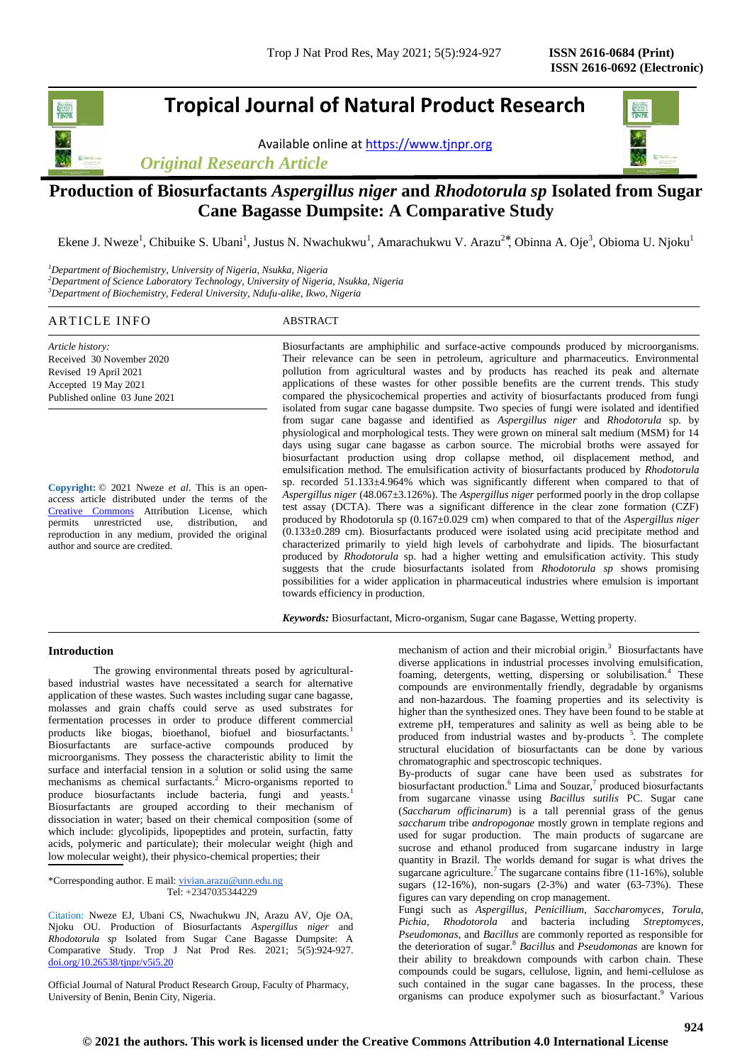# **Tropical Journal of Natural Product Research**

Available online a[t https://www.tjnpr.org](https://www.tjnpr.org/)



# **Production of Biosurfactants** *Aspergillus niger* **and** *Rhodotorula sp* **Isolated from Sugar Cane Bagasse Dumpsite: A Comparative Study**

Ekene J. Nweze<sup>1</sup>, Chibuike S. Ubani<sup>1</sup>, Justus N. Nwachukwu<sup>1</sup>, Amarachukwu V. Arazu<sup>2\*</sup>, Obinna A. Oje<sup>3</sup>, Obioma U. Njoku<sup>1</sup>

*<sup>1</sup>Department of Biochemistry, University of Nigeria, Nsukka, Nigeria <sup>2</sup>Department of Science Laboratory Technology, University of Nigeria, Nsukka, Nigeria <sup>3</sup>Department of Biochemistry, Federal University, Ndufu-alike, Ikwo, Nigeria*

# ARTICLE INFO ABSTRACT

*Article history:* Received 30 November 2020 Revised 19 April 2021 Accepted 19 May 2021 Published online 03 June 2021

**Copyright:** © 2021 Nweze *et al*. This is an openaccess article distributed under the terms of the [Creative Commons](https://creativecommons.org/licenses/by/4.0/) Attribution License, which permits unrestricted use, distribution, and reproduction in any medium, provided the original author and source are credited.

Biosurfactants are amphiphilic and surface-active compounds produced by microorganisms. Their relevance can be seen in petroleum, agriculture and pharmaceutics. Environmental pollution from agricultural wastes and by products has reached its peak and alternate applications of these wastes for other possible benefits are the current trends. This study compared the physicochemical properties and activity of biosurfactants produced from fungi isolated from sugar cane bagasse dumpsite. Two species of fungi were isolated and identified from sugar cane bagasse and identified as *Aspergillus niger* and *Rhodotorula* sp. by physiological and morphological tests. They were grown on mineral salt medium (MSM) for 14 days using sugar cane bagasse as carbon source. The microbial broths were assayed for biosurfactant production using drop collapse method, oil displacement method, and emulsification method. The emulsification activity of biosurfactants produced by *Rhodotorula* sp. recorded 51.133±4.964% which was significantly different when compared to that of *Aspergillus niger* (48.067±3.126%). The *Aspergillus niger* performed poorly in the drop collapse test assay (DCTA). There was a significant difference in the clear zone formation (CZF) produced by Rhodotorula sp (0.167±0.029 cm) when compared to that of the *Aspergillus niger* (0.133±0.289 cm). Biosurfactants produced were isolated using acid precipitate method and characterized primarily to yield high levels of carbohydrate and lipids. The biosurfactant produced by *Rhodotorula* sp. had a higher wetting and emulsification activity. This study suggests that the crude biosurfactants isolated from *Rhodotorula sp* shows promising possibilities for a wider application in pharmaceutical industries where emulsion is important towards efficiency in production.

*Keywords:* Biosurfactant, Micro-organism, Sugar cane Bagasse, Wetting property.

# **Introduction**

The growing environmental threats posed by agriculturalbased industrial wastes have necessitated a search for alternative application of these wastes. Such wastes including sugar cane bagasse, molasses and grain chaffs could serve as used substrates for fermentation processes in order to produce different commercial products like biogas, bioethanol, biofuel and biosurfactants.<sup>1</sup> Biosurfactants are surface-active compounds produced by microorganisms. They possess the characteristic ability to limit the surface and interfacial tension in a solution or solid using the same mechanisms as chemical surfactants.<sup>2</sup> Micro-organisms reported to produce biosurfactants include bacteria, fungi and yeasts.<sup>1</sup> Biosurfactants are grouped according to their mechanism of dissociation in water; based on their chemical composition (some of which include: glycolipids, lipopeptides and protein, surfactin, fatty acids, polymeric and particulate); their molecular weight (high and low molecular weight), their physico-chemical properties; their

\*Corresponding author. E mail[: vivian.arazu@unn.edu.ng](mailto:vivian.arazu@unn.edu.ng) Tel: +2347035344229

Citation: Nweze EJ, Ubani CS, Nwachukwu JN, Arazu AV, Oje OA, Njoku OU. Production of Biosurfactants *Aspergillus niger* and *Rhodotorula sp* Isolated from Sugar Cane Bagasse Dumpsite: A Comparative Study. Trop J Nat Prod Res. 2021; 5(5):924-927. [doi.org/10.26538/tjnpr/v5i5.2](http://www.doi.org/10.26538/tjnpr/v1i4.5)0

Official Journal of Natural Product Research Group, Faculty of Pharmacy, University of Benin, Benin City, Nigeria.

mechanism of action and their microbial origin.<sup>3</sup> Biosurfactants have diverse applications in industrial processes involving emulsification, foaming, detergents, wetting, dispersing or solubilisation.<sup>4</sup> These compounds are environmentally friendly, degradable by organisms and non-hazardous. The foaming properties and its selectivity is higher than the synthesized ones. They have been found to be stable at extreme pH, temperatures and salinity as well as being able to be produced from industrial wastes and by-products<sup>5</sup>. The complete structural elucidation of biosurfactants can be done by various chromatographic and spectroscopic techniques.

By-products of sugar cane have been used as substrates for biosurfactant production. 6 Lima and Souzar, 7 produced biosurfactants from sugarcane vinasse using *Bacillus sutilis* PC. Sugar cane (*Saccharum officinarum*) is a tall perennial grass of the genus *saccharum* tribe *andropogonae* mostly grown in template regions and used for sugar production. The main products of sugarcane are sucrose and ethanol produced from sugarcane industry in large quantity in Brazil. The worlds demand for sugar is what drives the sugarcane agriculture.<sup>7</sup> The sugarcane contains fibre (11-16%), soluble sugars (12-16%), non-sugars (2-3%) and water (63-73%). These figures can vary depending on crop management.

Fungi such as *Aspergillus*, *Penicillium*, *Saccharomyces*, *Torula*, *Pichia*, *Rhodotorola* and bacteria including *Streptomyces*, *Pseudomonas*, and *Bacillus* are commonly reported as responsible for the deterioration of sugar. 8 *Bacillus* and *Pseudomonas* are known for their ability to breakdown compounds with carbon chain. These compounds could be sugars, cellulose, lignin, and hemi-cellulose as such contained in the sugar cane bagasses. In the process, these organisms can produce expolymer such as biosurfactant. <sup>9</sup> Various



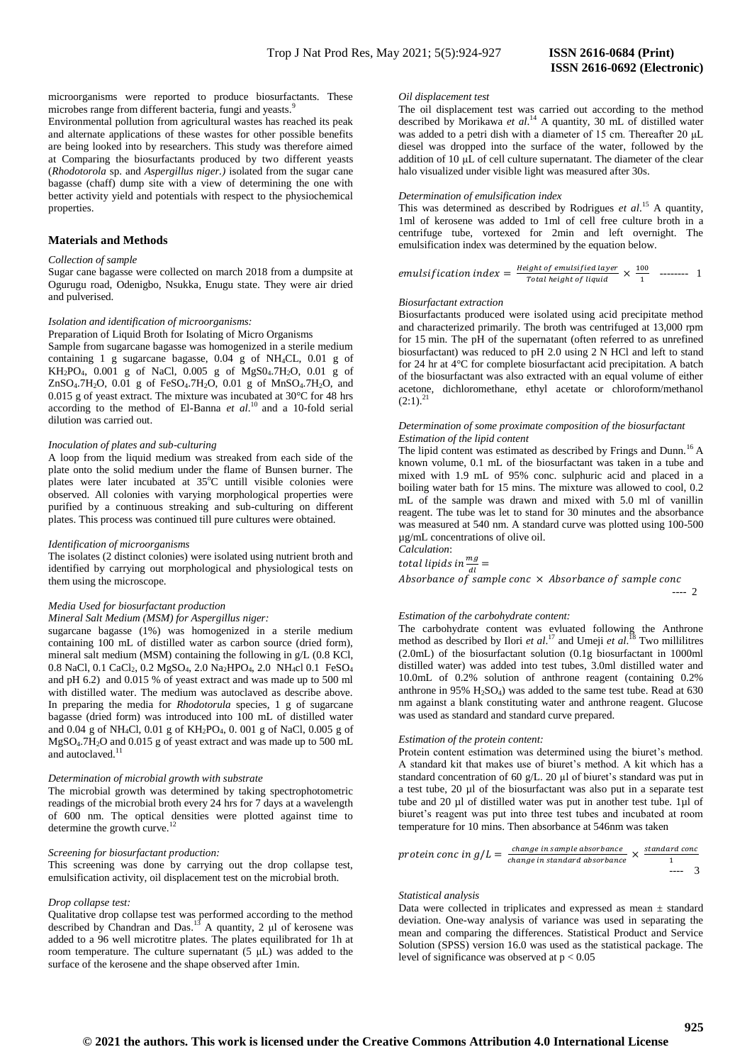microorganisms were reported to produce biosurfactants. These microbes range from different bacteria, fungi and yeasts.<sup>9</sup>

Environmental pollution from agricultural wastes has reached its peak and alternate applications of these wastes for other possible benefits are being looked into by researchers. This study was therefore aimed at Comparing the biosurfactants produced by two different yeasts (*Rhodotorola* sp. and *Aspergillus niger.)* isolated from the sugar cane bagasse (chaff) dump site with a view of determining the one with better activity yield and potentials with respect to the physiochemical properties.

# **Materials and Methods**

# *Collection of sample*

Sugar cane bagasse were collected on march 2018 from a dumpsite at Ogurugu road, Odenigbo, Nsukka, Enugu state. They were air dried and pulverised.

#### *Isolation and identification of microorganisms:*

Preparation of Liquid Broth for Isolating of Micro Organisms

Sample from sugarcane bagasse was homogenized in a sterile medium containing 1 g sugarcane bagasse, 0.04 g of NH4CL, 0.01 g of  $KH_2PO_4$ , 0.001 g of NaCl, 0.005 g of MgS04.7H<sub>2</sub>O, 0.01 g of ZnSO4.7H2O, 0.01 g of FeSO4.7H2O, 0.01 g of MnSO4.7H2O, and 0.015 g of yeast extract. The mixture was incubated at 30°C for 48 hrs according to the method of El-Banna et al.<sup>10</sup> and a 10-fold serial dilution was carried out.

#### *Inoculation of plates and sub-culturing*

A loop from the liquid medium was streaked from each side of the plate onto the solid medium under the flame of Bunsen burner. The plates were later incubated at 35°C untill visible colonies were observed. All colonies with varying morphological properties were purified by a continuous streaking and sub-culturing on different plates. This process was continued till pure cultures were obtained.

## *Identification of microorganisms*

The isolates (2 distinct colonies) were isolated using nutrient broth and identified by carrying out morphological and physiological tests on them using the microscope.

## *Media Used for biosurfactant production*

# *Mineral Salt Medium (MSM) for Aspergillus niger:*

sugarcane bagasse (1%) was homogenized in a sterile medium containing 100 mL of distilled water as carbon source (dried form), mineral salt medium (MSM) containing the following in g/L (0.8 KCl, 0.8 NaCl, 0.1 CaCl<sub>2</sub>, 0.2 MgSO<sub>4</sub>, 2.0 Na<sub>2</sub>HPO<sub>4</sub>, 2.0 NH<sub>4</sub>cl 0.1 FeSO<sub>4</sub> and pH 6.2) and 0.015 % of yeast extract and was made up to 500 ml with distilled water. The medium was autoclaved as describe above. In preparing the media for *Rhodotorula* species, 1 g of sugarcane bagasse (dried form) was introduced into 100 mL of distilled water and 0.04 g of NH4Cl, 0.01 g of KH2PO4, 0. 001 g of NaCl, 0.005 g of MgSO4.7H2O and 0.015 g of yeast extract and was made up to 500 mL and autoclaved.<sup>1</sup>

## *Determination of microbial growth with substrate*

The microbial growth was determined by taking spectrophotometric readings of the microbial broth every 24 hrs for 7 days at a wavelength of 600 nm. The optical densities were plotted against time to determine the growth curve.<sup>12</sup>

#### *Screening for biosurfactant production:*

This screening was done by carrying out the drop collapse test, emulsification activity, oil displacement test on the microbial broth.

#### *Drop collapse test:*

Qualitative drop collapse test was performed according to the method described by Chandran and Das.<sup>13</sup> A quantity, 2  $\mu$ l of kerosene was added to a 96 well microtitre plates. The plates equilibrated for 1h at room temperature. The culture supernatant  $(5 \mu L)$  was added to the surface of the kerosene and the shape observed after 1min.

# *Oil displacement test*

The oil displacement test was carried out according to the method described by Morikawa *et al*. <sup>14</sup> A quantity, 30 mL of distilled water was added to a petri dish with a diameter of 15 cm. Thereafter 20 μL diesel was dropped into the surface of the water, followed by the addition of 10 μL of cell culture supernatant. The diameter of the clear halo visualized under visible light was measured after 30s.

#### *Determination of emulsification index*

This was determined as described by Rodrigues *et al*. <sup>15</sup> A quantity, 1ml of kerosene was added to 1ml of cell free culture broth in a centrifuge tube, vortexed for 2min and left overnight. The emulsification index was determined by the equation below.

emulsification index = 
$$
\frac{Height\ of\ emulsified\ layer}{Total\ height\ of\ liquid} \times \frac{100}{1}
$$
 37221

## *Biosurfactant extraction*

Biosurfactants produced were isolated using acid precipitate method and characterized primarily. The broth was centrifuged at 13,000 rpm for 15 min. The pH of the supernatant (often referred to as unrefined biosurfactant) was reduced to pH 2.0 using 2 N HCl and left to stand for 24 hr at 4°C for complete biosurfactant acid precipitation. A batch of the biosurfactant was also extracted with an equal volume of either acetone, dichloromethane, ethyl acetate or chloroform/methanol  $(2:1).^{21}$ 

#### *Determination of some proximate composition of the biosurfactant Estimation of the lipid content*

The lipid content was estimated as described by Frings and Dunn.<sup>16</sup> A known volume, 0.1 mL of the biosurfactant was taken in a tube and mixed with 1.9 mL of 95% conc. sulphuric acid and placed in a boiling water bath for 15 mins. The mixture was allowed to cool, 0.2 mL of the sample was drawn and mixed with 5.0 ml of vanillin reagent. The tube was let to stand for 30 minutes and the absorbance was measured at 540 nm. A standard curve was plotted using 100-500 µg/mL concentrations of olive oil. *Calculation*:

total lipids in  $\frac{mg}{dl}$  =

 $\overline{A}$ ---- 2

## *Estimation of the carbohydrate content:*

The carbohydrate content was evluated following the Anthrone method as described by Ilori *et al*. <sup>17</sup> and Umeji *et al*. <sup>18</sup> Two millilitres (2.0mL) of the biosurfactant solution (0.1g biosurfactant in 1000ml distilled water) was added into test tubes, 3.0ml distilled water and 10.0mL of 0.2% solution of anthrone reagent (containing 0.2% anthrone in 95%  $H<sub>2</sub>SO<sub>4</sub>$ ) was added to the same test tube. Read at 630 nm against a blank constituting water and anthrone reagent. Glucose was used as standard and standard curve prepared.

#### *Estimation of the protein content:*

Protein content estimation was determined using the biuret's method. A standard kit that makes use of biuret's method. A kit which has a standard concentration of 60 g/L. 20 µl of biuret's standard was put in a test tube, 20 µl of the biosurfactant was also put in a separate test tube and 20 µl of distilled water was put in another test tube. 1µl of biuret's reagent was put into three test tubes and incubated at room temperature for 10 mins. Then absorbance at 546nm was taken

$$
protein\text{ cone in } g/L = \frac{\text{change in sample absorbance}}{\text{change in standard absorbance}} \times \frac{\text{standard cone}}{1}
$$

#### *Statistical analysis*

Data were collected in triplicates and expressed as mean  $\pm$  standard deviation. One-way analysis of variance was used in separating the mean and comparing the differences. Statistical Product and Service Solution (SPSS) version 16.0 was used as the statistical package. The level of significance was observed at  $p < 0.05$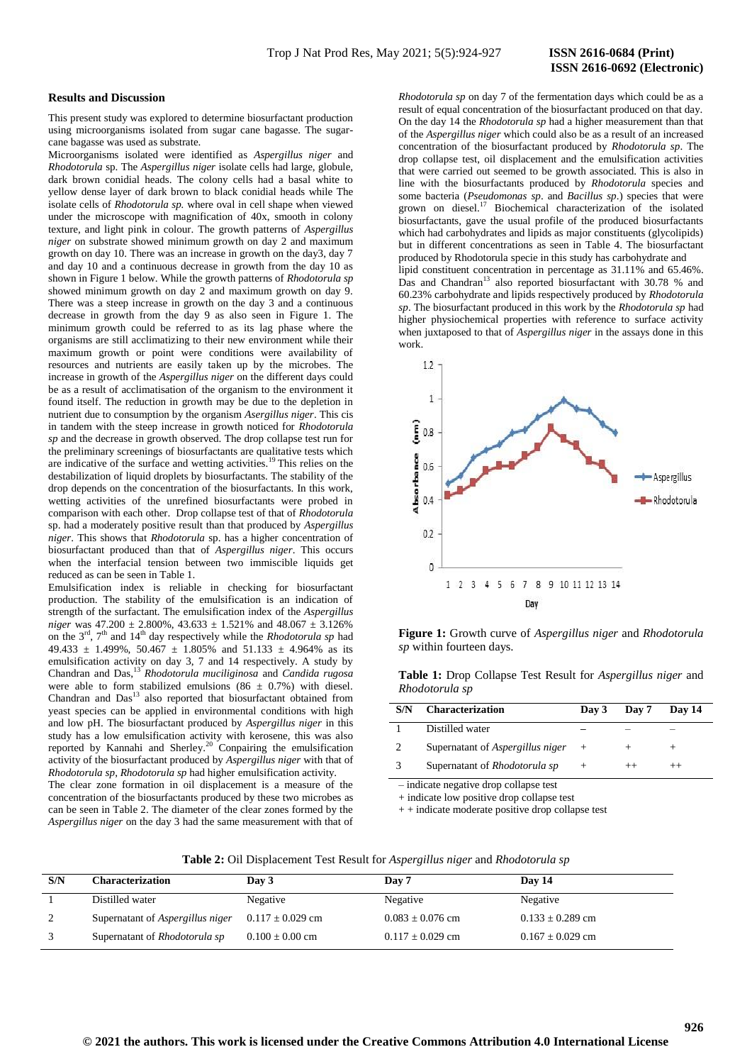# **ISSN 2616-0692 (Electronic)**

#### **Results and Discussion**

This present study was explored to determine biosurfactant production using microorganisms isolated from sugar cane bagasse. The sugarcane bagasse was used as substrate.

Microorganisms isolated were identified as *Aspergillus niger* and *Rhodotorula* sp. The *Aspergillus niger* isolate cells had large, globule, dark brown conidial heads. The colony cells had a basal white to yellow dense layer of dark brown to black conidial heads while The isolate cells of *Rhodotorula sp.* where oval in cell shape when viewed under the microscope with magnification of 40x, smooth in colony texture, and light pink in colour. The growth patterns of *Aspergillus niger* on substrate showed minimum growth on day 2 and maximum growth on day 10. There was an increase in growth on the day3, day 7 and day 10 and a continuous decrease in growth from the day 10 as shown in Figure 1 below. While the growth patterns of *Rhodotorula sp* showed minimum growth on day 2 and maximum growth on day 9. There was a steep increase in growth on the day 3 and a continuous decrease in growth from the day 9 as also seen in Figure 1. The minimum growth could be referred to as its lag phase where the organisms are still acclimatizing to their new environment while their maximum growth or point were conditions were availability of resources and nutrients are easily taken up by the microbes. The increase in growth of the *Aspergillus niger* on the different days could be as a result of acclimatisation of the organism to the environment it found itself. The reduction in growth may be due to the depletion in nutrient due to consumption by the organism *Asergillus niger*. This cis in tandem with the steep increase in growth noticed for *Rhodotorula sp* and the decrease in growth observed. The drop collapse test run for the preliminary screenings of biosurfactants are qualitative tests which are indicative of the surface and wetting activities.<sup>19</sup> This relies on the destabilization of liquid droplets by biosurfactants. The stability of the drop depends on the concentration of the biosurfactants. In this work, wetting activities of the unrefined biosurfactants were probed in comparison with each other. Drop collapse test of that of *Rhodotorula*  sp. had a moderately positive result than that produced by *Aspergillus niger*. This shows that *Rhodotorula* sp. has a higher concentration of biosurfactant produced than that of *Aspergillus niger*. This occurs when the interfacial tension between two immiscible liquids get reduced as can be seen in Table 1.

Emulsification index is reliable in checking for biosurfactant production. The stability of the emulsification is an indication of strength of the surfactant. The emulsification index of the *Aspergillus niger* was  $47.200 \pm 2.800\%$ ,  $43.633 \pm 1.521\%$  and  $48.067 \pm 3.126\%$ on the  $3<sup>rd</sup>$ ,  $7<sup>th</sup>$  and  $14<sup>th</sup>$  day respectively while the *Rhodotorula sp* had 49.433  $\pm$  1.499%, 50.467  $\pm$  1.805% and 51.133  $\pm$  4.964% as its emulsification activity on day 3, 7 and 14 respectively. A study by Chandran and Das,<sup>13</sup> *Rhodotorula muciliginosa* and *Candida rugosa*  were able to form stabilized emulsions (86  $\pm$  0.7%) with diesel. Chandran and Das<sup>13</sup> also reported that biosurfactant obtained from yeast species can be applied in environmental conditions with high and low pH. The biosurfactant produced by *Aspergillus niger* in this study has a low emulsification activity with kerosene, this was also reported by Kannahi and Sherley.<sup>20</sup> Conpairing the emulsification activity of the biosurfactant produced by *Aspergillus niger* with that of *Rhodotorula sp*, *Rhodotorula sp* had higher emulsification activity.

The clear zone formation in oil displacement is a measure of the concentration of the biosurfactants produced by these two microbes as can be seen in Table 2. The diameter of the clear zones formed by the *Aspergillus niger* on the day 3 had the same measurement with that of

*Rhodotorula sp* on day 7 of the fermentation days which could be as a result of equal concentration of the biosurfactant produced on that day. On the day 14 the *Rhodotorula sp* had a higher measurement than that of the *Aspergillus niger* which could also be as a result of an increased concentration of the biosurfactant produced by *Rhodotorula sp*. The drop collapse test, oil displacement and the emulsification activities that were carried out seemed to be growth associated. This is also in line with the biosurfactants produced by *Rhodotorula* species and some bacteria (*Pseudomonas sp*. and *Bacillus sp*.) species that were grown on diesel.<sup>17</sup> Biochemical characterization of the isolated biosurfactants, gave the usual profile of the produced biosurfactants which had carbohydrates and lipids as major constituents (glycolipids) but in different concentrations as seen in Table 4. The biosurfactant produced by Rhodotorula specie in this study has carbohydrate and lipid constituent concentration in percentage as 31.11% and 65.46%. Das and Chandran<sup>13</sup> also reported biosurfactant with 30.78 % and 60.23% carbohydrate and lipids respectively produced by *Rhodotorula sp*. The biosurfactant produced in this work by the *Rhodotorula sp* had

higher physiochemical properties with reference to surface activity



**Figure 1:** Growth curve of *Aspergillus niger* and *Rhodotorula sp* within fourteen days.

**Table 1:** Drop Collapse Test Result for *Aspergillus niger* and *Rhodotorula sp*

| S/N | <b>Characterization</b>              | Day 3 | Dav 7 | Day 14 |
|-----|--------------------------------------|-------|-------|--------|
|     | Distilled water                      |       |       |        |
|     | Supernatant of Aspergillus niger     |       |       |        |
|     | Supernatant of <i>Rhodotorula sp</i> |       |       |        |

– indicate negative drop collapse test

+ indicate low positive drop collapse test

+ + indicate moderate positive drop collapse test

| <b>Table 2:</b> Oil Displacement Test Result for Aspergillus niger and Rhodotorula sp |  |
|---------------------------------------------------------------------------------------|--|
|---------------------------------------------------------------------------------------|--|

| S/N | Characterization                 | Day 3                | Day 7                | Day 14               |
|-----|----------------------------------|----------------------|----------------------|----------------------|
|     | Distilled water                  | Negative             | Negative             | Negative             |
| 2   | Supernatant of Aspergillus niger | $0.117 \pm 0.029$ cm | $0.083 \pm 0.076$ cm | $0.133 \pm 0.289$ cm |
| 3   | Supernatant of Rhodotorula sp    | $0.100 \pm 0.00$ cm  | $0.117 \pm 0.029$ cm | $0.167 \pm 0.029$ cm |